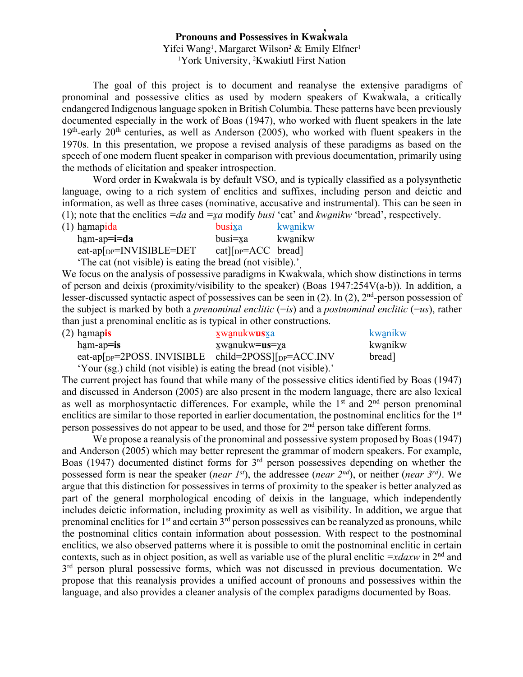## **Pronouns and Possessives in Kwak wala ̓**

Yifei Wang<sup>1</sup>, Margaret Wilson<sup>2</sup> & Emily Elfner<sup>1</sup> 1 York University, 2 Kwakiutl First Nation

The goal of this project is to document and reanalyse the extensive paradigms of pronominal and possessive clitics as used by modern speakers of Kwak wala, a critically ̓ endangered Indigenous language spoken in British Columbia. These patterns have been previously documented especially in the work of Boas (1947), who worked with fluent speakers in the late  $19<sup>th</sup>$ -early 20<sup>th</sup> centuries, as well as Anderson (2005), who worked with fluent speakers in the 1970s. In this presentation, we propose a revised analysis of these paradigms as based on the speech of one modern fluent speaker in comparison with previous documentation, primarily using the methods of elicitation and speaker introspection.

Word order in Kwak wala is by default VSO, and is typically classified as a polysynthetic ̓ language, owing to a rich system of enclitics and suffixes, including person and deictic and information, as well as three cases (nominative, accusative and instrumental). This can be seen in (1); note that the enclitics *=da* and *=x̱a* modify *busi* 'cat' and *kwa̱nikw* 'bread', respectively.

| (1) hamapida                                        | busixa                   | kwanikw |
|-----------------------------------------------------|--------------------------|---------|
| $ham-ap = i = da$                                   | $busi=xa$                | kwanikw |
| eat-ap $\lceil_{DP} = \lceil NVISIBLE = DET \rceil$ | $cat _{DP} = ACC$ bread] |         |

'The cat (not visible) is eating the bread (not visible).'

We focus on the analysis of possessive paradigms in Kwak wala, which show distinctions in terms ̓ of person and deixis (proximity/visibility to the speaker) (Boas 1947:254V(a-b)). In addition, a lesser-discussed syntactic aspect of possessives can be seen in (2). In (2), 2nd-person possession of the subject is marked by both a *prenominal enclitic* (=*is*) and a *postnominal enclitic* (=*us*), rather than just a prenominal enclitic as is typical in other constructions.

| (2) hamapis                                                                  | xwanukw <b>us</b> xa   | kwanikw |
|------------------------------------------------------------------------------|------------------------|---------|
| $ham-ap=$ is                                                                 | ⊻wanukw <b>=us=</b> γa | kwanikw |
| eat-ap $[p=2POSS. \text{ INVISIBLE} \text{ child}=2POSS][p=PACC. \text{INV}$ |                        | bread]  |
|                                                                              |                        |         |

'Your (sg.) child (not visible) is eating the bread (not visible).'

The current project has found that while many of the possessive clitics identified by Boas (1947) and discussed in Anderson (2005) are also present in the modern language, there are also lexical as well as morphosyntactic differences. For example, while the  $1<sup>st</sup>$  and  $2<sup>nd</sup>$  person prenominal enclitics are similar to those reported in earlier documentation, the postnominal enclitics for the 1<sup>st</sup> person possessives do not appear to be used, and those for  $2<sup>nd</sup>$  person take different forms.

We propose a reanalysis of the pronominal and possessive system proposed by Boas (1947) and Anderson (2005) which may better represent the grammar of modern speakers. For example, Boas (1947) documented distinct forms for 3rd person possessives depending on whether the possessed form is near the speaker (*near 1st*), the addressee (*near 2nd*), or neither (*near 3rd)*. We argue that this distinction for possessives in terms of proximity to the speaker is better analyzed as part of the general morphological encoding of deixis in the language, which independently includes deictic information, including proximity as well as visibility. In addition, we argue that prenominal enclitics for  $1<sup>st</sup>$  and certain  $3<sup>rd</sup>$  person possessives can be reanalyzed as pronouns, while the postnominal clitics contain information about possession. With respect to the postnominal enclitics, we also observed patterns where it is possible to omit the postnominal enclitic in certain contexts, such as in object position, as well as variable use of the plural enclitic *=xdaxw* in 2<sup>nd</sup> and  $3<sup>rd</sup>$  person plural possessive forms, which was not discussed in previous documentation. We propose that this reanalysis provides a unified account of pronouns and possessives within the language, and also provides a cleaner analysis of the complex paradigms documented by Boas.